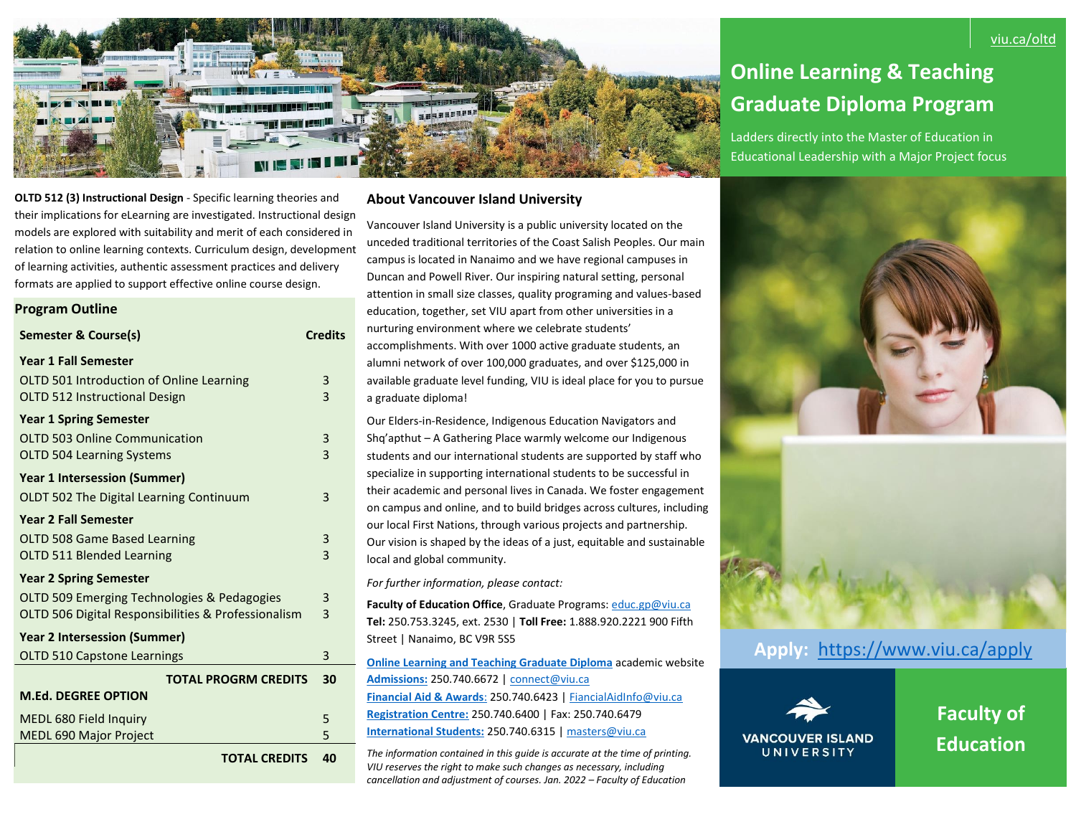

# **Online Learning & Teaching Graduate Diploma Program**

Ladders directly into the Master of Education in Educational Leadership with a Major Project focus

# **OLTD 512 (3) Instructional Design** - Specific learning theories and their implications for eLearning are investigated. Instructional design models are explored with suitability and merit of each considered in relation to online learning contexts. Curriculum design, development of learning activities, authentic assessment practices and delivery formats are applied to support effective online course design.

**Program Outline**

| Semester & Course(s)                                | <b>Credits</b> |
|-----------------------------------------------------|----------------|
| <b>Year 1 Fall Semester</b>                         |                |
| OLTD 501 Introduction of Online Learning            | 3              |
| <b>OLTD 512 Instructional Design</b>                | 3              |
| <b>Year 1 Spring Semester</b>                       |                |
| <b>OLTD 503 Online Communication</b>                | 3              |
| <b>OLTD 504 Learning Systems</b>                    | 3              |
| <b>Year 1 Intersession (Summer)</b>                 |                |
| <b>OLDT 502 The Digital Learning Continuum</b>      | 3              |
| <b>Year 2 Fall Semester</b>                         |                |
| OLTD 508 Game Based Learning                        | 3              |
| <b>OLTD 511 Blended Learning</b>                    | 3              |
| <b>Year 2 Spring Semester</b>                       |                |
| OLTD 509 Emerging Technologies & Pedagogies         | 3              |
| OLTD 506 Digital Responsibilities & Professionalism | 3              |
| <b>Year 2 Intersession (Summer)</b>                 |                |
| <b>OLTD 510 Capstone Learnings</b>                  | 3              |
| <b>TOTAL PROGRM CREDITS</b>                         | 30             |
| <b>M.Ed. DEGREE OPTION</b>                          |                |
| MEDL 680 Field Inquiry                              | 5              |
| <b>MEDL 690 Major Project</b>                       | 5              |
| <b>TOTAL CREDITS</b>                                | 40             |

## **About Vancouver Island University**

Vancouver Island University is a public university located on the unceded traditional territories of the Coast Salish Peoples. Our main campus is located in Nanaimo and we have regional campuses in Duncan and Powell River. Our inspiring natural setting, personal attention in small size classes, quality programing and values-based education, together, set VIU apart from other universities in a nurturing environment where we celebrate students' accomplishments. With over 1000 active graduate students, an alumni network of over 100,000 graduates, and over \$125,000 in available graduate level funding, VIU is ideal place for you to pursue a graduate diploma!

Our Elders-in-Residence, Indigenous Education Navigators and Shq'apthut – A Gathering Place warmly welcome our Indigenous students and our international students are supported by staff who specialize in supporting international students to be successful in their academic and personal lives in Canada. We foster engagement on campus and online, and to build bridges across cultures, including our local First Nations, through various projects and partnership. Our vision is shaped by the ideas of a just, equitable and sustainable local and global community.

*For further information, please contact:* 

**Faculty of Education Office**, Graduate Programs[: educ.gp@viu.ca](mailto:educ.gp@viu.ca)  **Tel:** 250.753.3245, ext. 2530 | **Toll Free:** 1.888.920.2221 900 Fifth Street | Nanaimo, BC V9R 5S5

**[Online Learning and Teaching Graduate Diploma](https://www.viu.ca/programs/education/online-learning-and-teaching-graduate-diploma)** academic website **[Admissions:](https://www.viu.ca/programs/application-steps)** 250.740.6672 [| connect@viu.ca](mailto:connect@viu.ca) **[Financial Aid & Awards](https://services.viu.ca/financial-aid-awards)**: 250.740.6423 [| FiancialAidInfo@viu.ca](mailto:FiancialAidInfo@viu.ca) **[Registration Centre:](https://www.viu.ca/registration)** 250.740.6400 | Fax: 250.740.6479 **[International Students:](https://international.viu.ca/)** 250.740.6315 [| masters@viu.ca](mailto:masters@viu.ca)

*The information contained in this guide is accurate at the time of printing. VIU reserves the right to make such changes as necessary, including cancellation and adjustment of courses. Jan. 2022 – Faculty of Education*



**Apply:** <https://www.viu.ca/apply>



**Faculty of Education**